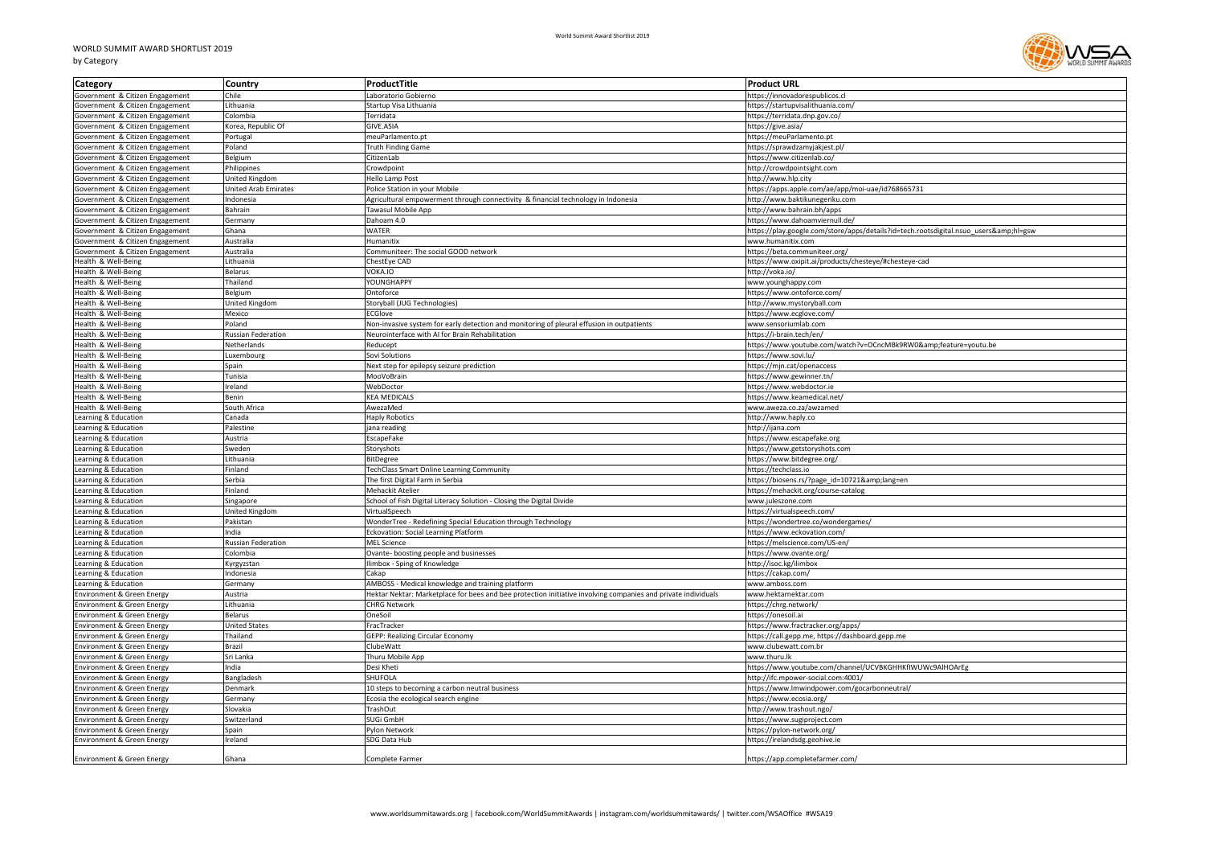## WORLD SUMMIT AWARD SHORTLIST 2019 by Category



| Category                                                 | Country                      | ProductTitle                                                                                                                                 | <b>Product URL</b>                                                                   |
|----------------------------------------------------------|------------------------------|----------------------------------------------------------------------------------------------------------------------------------------------|--------------------------------------------------------------------------------------|
| Government & Citizen Engagement                          | Chile                        | Laboratorio Gobierno                                                                                                                         | https://innovadorespublicos.cl                                                       |
| Government & Citizen Engagement                          | Lithuania                    | Startup Visa Lithuania                                                                                                                       | https://startupvisalithuania.com/                                                    |
| Government & Citizen Engagement                          | Colombia                     | Terridata                                                                                                                                    | https://terridata.dnp.gov.co/                                                        |
| Government & Citizen Engagement                          | Korea, Republic Of           | GIVE.ASIA                                                                                                                                    | https://give.asia/                                                                   |
| Government & Citizen Engagement                          | Portugal                     | meuParlamento.pt                                                                                                                             | https://meuParlamento.pt                                                             |
| Government & Citizen Engagement                          | Poland                       | <b>Truth Finding Game</b>                                                                                                                    | https://sprawdzamyjakjest.pl/                                                        |
| Government & Citizen Engagement                          | Belgium                      | CitizenLab                                                                                                                                   | https://www.citizenlab.co/                                                           |
| Government & Citizen Engagement                          | Philippines                  | Crowdpoint                                                                                                                                   | http://crowdpointsight.com                                                           |
| Government & Citizen Engagement                          | United Kingdom               | Hello Lamp Post                                                                                                                              | http://www.hlp.city                                                                  |
| Government & Citizen Engagement                          | <b>United Arab Emirates</b>  | Police Station in your Mobile                                                                                                                | https://apps.apple.com/ae/app/moi-uae/id768665731                                    |
| Government & Citizen Engagement                          | Indonesia                    | Agricultural empowerment through connectivity & financial technology in Indonesia                                                            | http://www.baktikunegeriku.com                                                       |
| Government & Citizen Engagement                          | Bahrain                      | Tawasul Mobile App                                                                                                                           | http://www.bahrain.bh/apps                                                           |
| Government & Citizen Engagement                          | Germany                      | Dahoam 4.0                                                                                                                                   | https://www.dahoamviernull.de/                                                       |
| Government & Citizen Engagement                          | Ghana                        | <b>WATER</b>                                                                                                                                 | https://play.google.com/store/apps/details?id=tech.rootsdigital.nsuo_users&hl=gsw    |
| iovernment & Citizen Engagement                          | Australia                    | Humanitix                                                                                                                                    | vww.humanitix.com                                                                    |
| Government & Citizen Engagement                          | Australia                    | Communiteer: The social GOOD network                                                                                                         | https://beta.communiteer.org/                                                        |
| Health & Well-Being                                      | Lithuania                    | ChestEye CAD                                                                                                                                 | https://www.oxipit.ai/products/chesteye/#chesteye-cad                                |
| lealth & Well-Being                                      | <b>Belarus</b>               | VOKA.IO                                                                                                                                      | http://voka.io/                                                                      |
| Health & Well-Being                                      | Thailand                     | YOUNGHAPPY                                                                                                                                   | www.younghappy.com                                                                   |
| Health & Well-Being                                      | Belgium                      | Ontoforce                                                                                                                                    | https://www.ontoforce.com/                                                           |
| Health & Well-Being                                      | United Kingdom               | Storyball (JUG Technologies)                                                                                                                 | http://www.mystoryball.com                                                           |
| lealth & Well-Being                                      | Mexico                       | ECGlove                                                                                                                                      | https://www.ecglove.com,                                                             |
| lealth & Well-Being<br>Health & Well-Being               | Poland<br>Russian Federation | Non-invasive system for early detection and monitoring of pleural effusion in outpatients<br>Neurointerface with AI for Brain Rehabilitation | www.sensoriumlab.com<br>https://i-brain.tech/en/                                     |
|                                                          | Netherlands                  | Reducept                                                                                                                                     |                                                                                      |
| lealth & Well-Being<br>lealth & Well-Being               | Luxembourg                   | Sovi Solutions                                                                                                                               | https://www.youtube.com/watch?v=OCncMBk9RW0&feature=youtu.be<br>https://www.sovi.lu/ |
| lealth & Well-Being                                      | Spain                        | Next step for epilepsy seizure prediction                                                                                                    | https://mjn.cat/openaccess                                                           |
| Health & Well-Being                                      | Tunisia                      | MooVoBrain                                                                                                                                   | https://www.gewinner.tn/                                                             |
| lealth & Well-Being                                      | Ireland                      | WebDoctor                                                                                                                                    | nttps://www.webdoctor.ie                                                             |
| lealth & Well-Being                                      | Benin                        | <b>KEA MEDICALS</b>                                                                                                                          | https://www.keamedical.net/                                                          |
| lealth & Well-Being                                      | South Africa                 | AwezaMed                                                                                                                                     | www.aweza.co.za/awzamed                                                              |
| earning & Education                                      | Canada                       | <b>Haply Robotics</b>                                                                                                                        | http://www.haply.co                                                                  |
| earning & Education                                      | Palestine                    | jana readin                                                                                                                                  | http://ijana.com                                                                     |
| earning & Education                                      | Austria                      | EscapeFake                                                                                                                                   | https://www.escapefake.org                                                           |
| Learning & Education                                     | Sweden                       | Storyshots                                                                                                                                   | https://www.getstoryshots.com                                                        |
| Learning & Education                                     | Lithuania                    | <b>BitDegree</b>                                                                                                                             | https://www.bitdegree.org/                                                           |
| earning & Education                                      | Finland                      | TechClass Smart Online Learning Community                                                                                                    | https://techclass.io                                                                 |
| earning & Education                                      | Serbia                       | The first Digital Farm in Serbia                                                                                                             | https://biosens.rs/?page id=10721⟨=en                                                |
| earning & Education                                      | Finland                      | Mehackit Atelier                                                                                                                             | https://mehackit.org/course-catalog                                                  |
| earning & Education                                      | Singapore                    | School of Fish Digital Literacy Solution - Closing the Digital Divide                                                                        | www.juleszone.com                                                                    |
| earning & Education                                      | United Kingdom               | VirtualSpeech                                                                                                                                | https://virtualspeech.com/                                                           |
| earning & Education                                      | Pakistan                     | WonderTree - Redefining Special Education through Technology                                                                                 | https://wondertree.co/wondergames/                                                   |
| earning & Education                                      | India                        | Eckovation: Social Learning Platform                                                                                                         | https://www.eckovation.com/                                                          |
| earning & Education                                      | <b>Russian Federation</b>    | <b>MEL Science</b>                                                                                                                           | https://melscience.com/US-en/                                                        |
| earning & Education                                      | Colombia                     | Ovante- boosting people and businesses                                                                                                       | /1ttps://www.ovante.org                                                              |
| earning & Education                                      | Kyrgyzstan                   | limbox - Sping of Knowledge                                                                                                                  | http://isoc.kg/ilimbox                                                               |
| Learning & Education                                     | Indonesia                    | Cakan                                                                                                                                        | https://cakap.com/                                                                   |
| earning & Education                                      | Germany                      | AMBOSS - Medical knowledge and training platform                                                                                             | vww.amboss.com                                                                       |
| invironment & Green Energy                               | Austria                      | Hektar Nektar: Marketplace for bees and bee protection initiative involving companies and private individuals                                | www.hektarnektar.com                                                                 |
| Environment & Green Energy                               | Lithuania                    | <b>CHRG Network</b>                                                                                                                          | https://chrg.network/                                                                |
| <b>Environment &amp; Green Energy</b>                    | <b>Belarus</b>               | OneSoil                                                                                                                                      | https://onesoil.ai                                                                   |
| nvironment & Green Energy                                | United States                | FracTracker                                                                                                                                  | https://www.fractracker.org/apps/                                                    |
| invironment & Green Energy<br>Environment & Green Energy | hailand<br><b>Brazil</b>     | <b>GEPP: Realizing Circular Economy</b><br>ClubeWatt                                                                                         | https://call.gepp.me, https://dashboard.gepp.me<br>www.clubewatt.com.br              |
| Environment & Green Energy                               | Sri Lanka                    | Thuru Mobile App                                                                                                                             | www.thuru.lk                                                                         |
| nvironment & Green Energy                                | India                        | Desi Kheti                                                                                                                                   | https://www.youtube.com/channel/UCVBKGHHKfIWUWc9AlHOArEg                             |
| invironment & Green Energy                               | Bangladesh                   | SHUFOLA                                                                                                                                      | http://ifc.mpower-social.com:4001/                                                   |
| Environment & Green Energy                               | Denmark                      | 10 steps to becoming a carbon neutral business                                                                                               | https://www.lmwindpower.com/gocarbonneutral/                                         |
| nvironment & Green Energy                                | Germany                      | Ecosia the ecological search engine                                                                                                          | https://www.ecosia.org/                                                              |
| nvironment & Green Energy                                | Slovakia                     | <b>TrashOut</b>                                                                                                                              | http://www.trashout.ngo/                                                             |
| <b>Environment &amp; Green Energy</b>                    | Switzerland                  | SUGi GmbH                                                                                                                                    | https://www.sugiproject.com                                                          |
| <b>Environment &amp; Green Energy</b>                    | Spain                        | Pylon Networl                                                                                                                                | https://pylon-network.org/                                                           |
| Environment & Green Energy                               | Ireland                      | SDG Data Hub                                                                                                                                 | https://irelandsdg.geohive.ie                                                        |
|                                                          |                              |                                                                                                                                              |                                                                                      |
| Environment & Green Energy                               | Ghana                        | Complete Farmer                                                                                                                              | https://app.completefarmer.com/                                                      |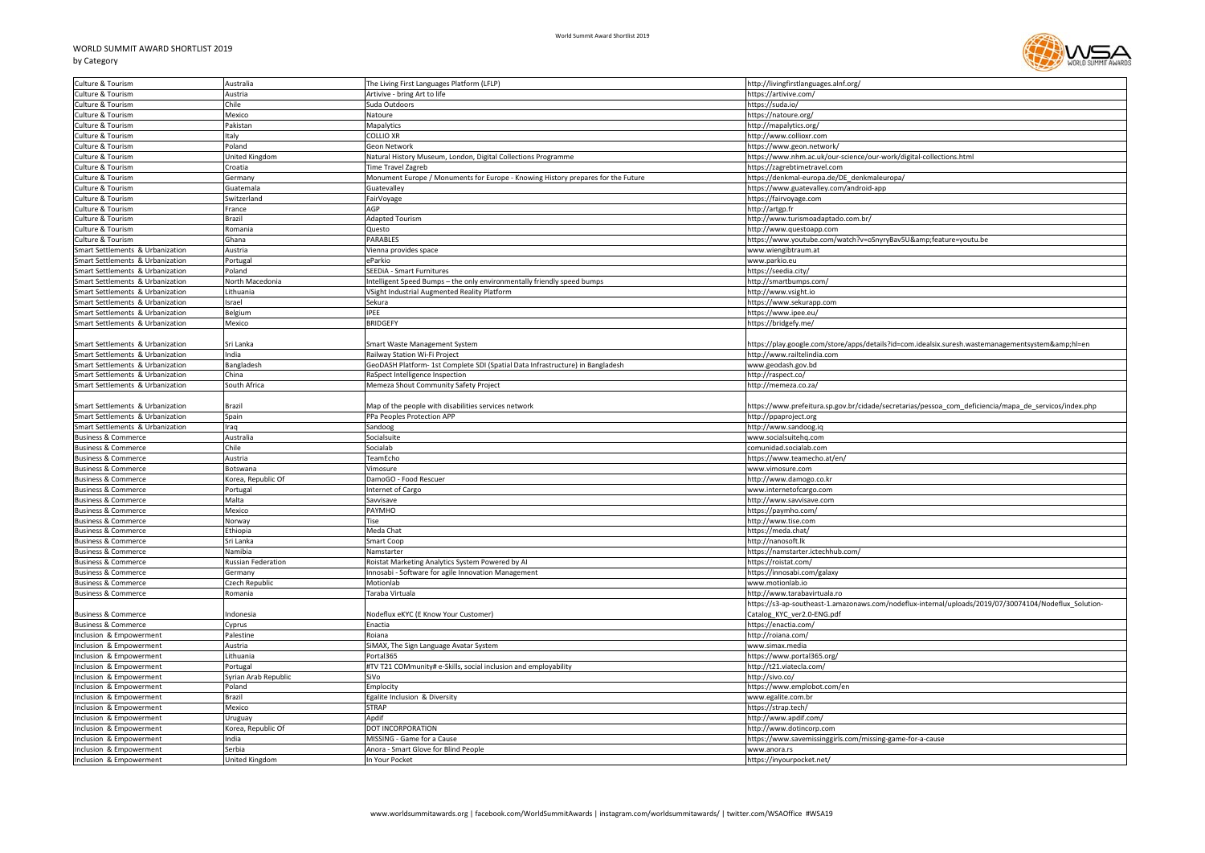## WORLD SUMMIT AWARD SHORTLIST 2019





| Culture & Tourism                                                    | Australia                        | The Living First Languages Platform (LFLP)                                       | http://livingfirstlanguages.alnf.org/                                                                 |
|----------------------------------------------------------------------|----------------------------------|----------------------------------------------------------------------------------|-------------------------------------------------------------------------------------------------------|
| Culture & Tourism                                                    | Austria                          | Artivive - bring Art to life                                                     | https://artivive.com/                                                                                 |
| Culture & Tourism                                                    | Chile                            | Suda Outdoors                                                                    | https://suda.io/                                                                                      |
| Culture & Tourism                                                    | Mexico                           | Natoure                                                                          | https://natoure.org/                                                                                  |
| Culture & Tourism                                                    | Pakistan                         | Mapalytics                                                                       | http://mapalytics.org/                                                                                |
| Culture & Tourism                                                    | Italy                            | <b>COLLIO XR</b>                                                                 | http://www.collioxr.com                                                                               |
| Culture & Tourism                                                    | Poland                           | Geon Network                                                                     | https://www.geon.network/                                                                             |
| Culture & Tourism                                                    | United Kingdom                   | Natural History Museum, London, Digital Collections Programme                    | https://www.nhm.ac.uk/our-science/our-work/digital-collections.html                                   |
| Culture & Tourism                                                    | Croatia                          | <b>Time Travel Zagreb</b>                                                        | https://zagrebtimetravel.com                                                                          |
| Culture & Tourism                                                    | Germany                          | Monument Europe / Monuments for Europe - Knowing History prepares for the Future | https://denkmal-europa.de/DE denkmaleuropa/                                                           |
| Culture & Tourism                                                    | Guatemala                        | Guatevalley                                                                      | https://www.guatevalley.com/android-app                                                               |
| Culture & Tourism                                                    | Switzerland                      | FairVoyage                                                                       | https://fairvoyage.com                                                                                |
| Culture & Tourism                                                    | France                           | AGP                                                                              | http://artgp.fr                                                                                       |
| Culture & Tourism                                                    | Brazil                           | Adapted Tourism                                                                  | http://www.turismoadaptado.com.br/                                                                    |
| Culture & Tourism                                                    | Romania                          | Questo                                                                           | http://www.questoapp.com                                                                              |
| Culture & Tourism                                                    | Ghana                            | PARABLES                                                                         | https://www.youtube.com/watch?v=oSnyryBav5U&feature=youtu.be                                          |
| Smart Settlements & Urbanization                                     | Austria                          | Vienna provides space                                                            | www.wiengibtraum.at                                                                                   |
| Smart Settlements & Urbanization                                     | Portugal                         | eParkio                                                                          | www.parkio.eu                                                                                         |
| Smart Settlements & Urbanization                                     | Poland                           | SEEDIA - Smart Furnitures                                                        | https://seedia.city/                                                                                  |
| Smart Settlements & Urbanization                                     | North Macedonia                  | Intelligent Speed Bumps - the only environmentally friendly speed bumps          | http://smartbumps.com/                                                                                |
|                                                                      | Lithuania                        | VSight Industrial Augmented Reality Platform                                     |                                                                                                       |
| Smart Settlements & Urbanization<br>Smart Settlements & Urbanization |                                  | Sekura                                                                           | http://www.vsight.io<br>https://www.sekurapp.com                                                      |
|                                                                      | Israel                           |                                                                                  |                                                                                                       |
| Smart Settlements & Urbanization                                     | Belgium                          | IPEE                                                                             | https://www.ipee.eu/                                                                                  |
| Smart Settlements & Urbanization                                     | Mexico                           | <b>BRIDGEFY</b>                                                                  | https://bridgefy.me/                                                                                  |
|                                                                      |                                  |                                                                                  |                                                                                                       |
| Smart Settlements & Urbanization                                     | Sri Lanka                        | Smart Waste Management System                                                    | https://play.google.com/store/apps/details?id=com.idealsix.suresh.wastemanagementsystem&hl=en         |
| Smart Settlements & Urbanization                                     | India                            | Railway Station Wi-Fi Project                                                    | http://www.railtelindia.com                                                                           |
| Smart Settlements & Urbanization                                     | Bangladesh                       | GeoDASH Platform- 1st Complete SDI (Spatial Data Infrastructure) in Bangladesh   | www.geodash.gov.bd                                                                                    |
| Smart Settlements & Urbanization                                     | China                            | RaSpect Intelligence Inspection                                                  | http://raspect.co/                                                                                    |
| Smart Settlements & Urbanization                                     | South Africa                     | Memeza Shout Community Safety Project                                            | http://memeza.co.za/                                                                                  |
|                                                                      |                                  |                                                                                  |                                                                                                       |
| Smart Settlements & Urbanization                                     | Brazil                           | Map of the people with disabilities services network                             | https://www.prefeitura.sp.gov.br/cidade/secretarias/pessoa_com_deficiencia/mapa_de_servicos/index.php |
| Smart Settlements & Urbanization                                     | Spain                            | PPa Peoples Protection APP                                                       | http://ppaproject.org                                                                                 |
| Smart Settlements & Urbanization                                     | Iraq                             | Sandoog                                                                          | http://www.sandoog.iq                                                                                 |
| <b>Business &amp; Commerce</b>                                       | Australia                        | Socialsuite                                                                      | www.socialsuitehq.com                                                                                 |
| <b>Business &amp; Commerce</b>                                       | Chile                            | Socialab                                                                         | comunidad.socialab.com                                                                                |
| <b>Business &amp; Commerce</b>                                       | Austria                          | TeamEcho                                                                         | https://www.teamecho.at/en/                                                                           |
| <b>Business &amp; Commerce</b>                                       | Botswana                         | Vimosure                                                                         | www.vimosure.com                                                                                      |
| <b>Business &amp; Commerce</b>                                       | Korea, Republic Of               | DamoGO - Food Rescuer                                                            | http://www.damogo.co.kr                                                                               |
| <b>Business &amp; Commerce</b>                                       | Portugal                         | Internet of Cargo                                                                | www.internetofcargo.com                                                                               |
| <b>Business &amp; Commerce</b>                                       | Malta                            | Savvisave                                                                        | http://www.savvisave.com                                                                              |
| <b>Business &amp; Commerce</b>                                       | Mexico                           | PAYMHO                                                                           | https://paymho.com/                                                                                   |
| <b>Business &amp; Commerce</b>                                       | Norway                           | Tise                                                                             | http://www.tise.com                                                                                   |
| <b>Business &amp; Commerce</b>                                       | Ethiopia                         | Meda Chat                                                                        | https://meda.chat/                                                                                    |
| <b>Business &amp; Commerce</b>                                       | Sri Lanka                        | Smart Coop                                                                       | http://nanosoft.lk                                                                                    |
| <b>Business &amp; Commerce</b>                                       | Namibia                          | Namstarter                                                                       | https://namstarter.ictechhub.com/                                                                     |
| <b>Business &amp; Commerce</b>                                       | Russian Federation               | Roistat Marketing Analytics System Powered by Al                                 | https://roistat.com/                                                                                  |
| <b>Business &amp; Commerce</b>                                       | Germany                          | Innosabi - Software for agile Innovation Management                              | https://innosabi.com/galaxy                                                                           |
| <b>Business &amp; Commerce</b>                                       | Czech Republic                   | Motionlab                                                                        | www.motionlab.io                                                                                      |
| <b>Business &amp; Commerce</b>                                       | Romania                          | Taraba Virtuala                                                                  | http://www.tarabavirtuala.ro                                                                          |
|                                                                      |                                  |                                                                                  | https://s3-ap-southeast-1.amazonaws.com/nodeflux-internal/uploads/2019/07/30074104/Nodeflux_Solution- |
| <b>Business &amp; Commerce</b>                                       | ndonesia                         | Nodeflux eKYC (E Know Your Customer)                                             | Catalog KYC ver2.0-ENG.pdf                                                                            |
| <b>Business &amp; Commerce</b>                                       | Cyprus                           | Enactia                                                                          | https://enactia.com/                                                                                  |
| Inclusion & Empowerment                                              | Palestine                        | Roiana                                                                           | http://roiana.com/                                                                                    |
| Inclusion & Empowerment                                              | Austria                          | SiMAX, The Sign Language Avatar System                                           | www.simax.media                                                                                       |
| Inclusion & Empowerment                                              | Lithuania                        | Portal365                                                                        | https://www.portal365.org/                                                                            |
|                                                                      |                                  |                                                                                  |                                                                                                       |
| Inclusion & Empowerment<br>Inclusion & Empowerment                   | Portugal<br>Syrian Arab Republic | #TV T21 COMmunity# e-Skills, social inclusion and employability<br>SiVo          | http://t21.viatecla.com/<br>http://sivo.co/                                                           |
|                                                                      |                                  |                                                                                  |                                                                                                       |
| Inclusion & Empowerment                                              | Poland                           | Emplocity                                                                        | https://www.emplobot.com/en                                                                           |
| Inclusion & Empowerment                                              | <b>Brazil</b>                    | Egalite Inclusion & Diversity                                                    | www.egalite.com.br                                                                                    |
| Inclusion & Empowerment                                              | Mexico                           | <b>STRAP</b>                                                                     | https://strap.tech/                                                                                   |
| Inclusion & Empowerment                                              | Uruguay                          | Apdif                                                                            | http://www.apdif.com/                                                                                 |
| Inclusion & Empowerment                                              | Korea, Republic Of               | DOT INCORPORATION                                                                | http://www.dotincorp.com                                                                              |
| Inclusion & Empowerment                                              | India                            | MISSING - Game for a Cause                                                       | https://www.savemissinggirls.com/missing-game-for-a-cause                                             |
| Inclusion & Empowerment                                              | Serbia                           | Anora - Smart Glove for Blind People                                             | www.anora.rs                                                                                          |
| Inclusion & Empowerment                                              | United Kingdom                   | In Your Pocket                                                                   | https://inyourpocket.net/                                                                             |